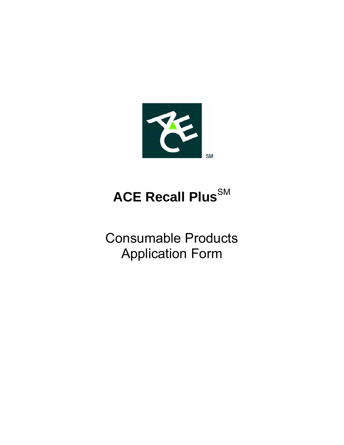

# **ACE Recall Plus**SM

Consumable Products Application Form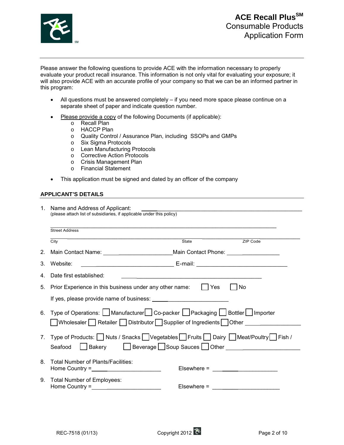

Please answer the following questions to provide ACE with the information necessary to properly evaluate your product recall insurance. This information is not only vital for evaluating your exposure; it will also provide ACE with an accurate profile of your company so that we can be an informed partner in this program:

- All questions must be answered completely if you need more space please continue on a separate sheet of paper and indicate question number.
- Please provide a copy of the following Documents (if applicable):
	- o Recall Plan
	- o HACCP Plan
	- o Quality Control / Assurance Plan, including SSOPs and GMPs
	- o Six Sigma Protocols
	- o Lean Manufacturing Protocols
	- o Corrective Action Protocols
	- o Crisis Management Plan
	- o Financial Statement
- This application must be signed and dated by an officer of the company

#### **APPLICANT'S DETAILS**

| 1. Name and Address of Applicant:<br>(please attach list of subsidiaries, if applicable under this policy) |                                                                                                                                                                                                                                                                                                                     |                                                                                                                       |          |  |  |
|------------------------------------------------------------------------------------------------------------|---------------------------------------------------------------------------------------------------------------------------------------------------------------------------------------------------------------------------------------------------------------------------------------------------------------------|-----------------------------------------------------------------------------------------------------------------------|----------|--|--|
|                                                                                                            | <b>Street Address</b>                                                                                                                                                                                                                                                                                               |                                                                                                                       |          |  |  |
|                                                                                                            | City                                                                                                                                                                                                                                                                                                                | State                                                                                                                 | ZIP Code |  |  |
| 2.                                                                                                         | Main Contact Name: _____________________________Main Contact Phone: _____________                                                                                                                                                                                                                                   |                                                                                                                       |          |  |  |
| 3.                                                                                                         | Website:                                                                                                                                                                                                                                                                                                            |                                                                                                                       |          |  |  |
| 4.                                                                                                         | Date first established:                                                                                                                                                                                                                                                                                             | <u> 1989 - Jan Barnett, mars et al. 1989 - Anna anno 1989 - Anna ann an t-Anna ann an t-Anna ann an t-Anna ann an</u> |          |  |  |
| 5.                                                                                                         | Prior Experience in this business under any other name: $\Box$ Yes<br>No                                                                                                                                                                                                                                            |                                                                                                                       |          |  |  |
|                                                                                                            | If yes, please provide name of business:                                                                                                                                                                                                                                                                            |                                                                                                                       |          |  |  |
|                                                                                                            | 6. Type of Operations:   Manufacturer  Co-packer   Packaging   Bottler   Importer<br>Wholesaler   Retailer   Distributor   Supplier of Ingredients   Other   Lucase   Content   Content   Content   Content   Content   Content   Content   Content   Content   Content   Content   Content   Content   Content   C |                                                                                                                       |          |  |  |
| $7_{\scriptscriptstyle{\sim}}$                                                                             | Type of Products: Nuts / Snacks Vegetables Fruits Dairy Meat/Poultry Fish /<br>Bakery Beverage Soup Sauces Other Charles Bakery<br>Seafood                                                                                                                                                                          |                                                                                                                       |          |  |  |
| 8.                                                                                                         | Total Number of Plants/Facilities:<br>Home Country = $\sqrt{2\pi}$                                                                                                                                                                                                                                                  | Elsewhere = $\frac{1}{2}$                                                                                             |          |  |  |
|                                                                                                            | 9. Total Number of Employees:<br>Home Country = $\sqrt{2\pi i}$                                                                                                                                                                                                                                                     | Elsewhere = $\frac{1}{2}$                                                                                             |          |  |  |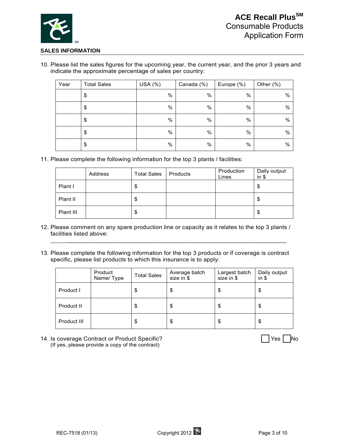

#### **SALES INFORMATION**

10. Please list the sales figures for the upcoming year, the current year, and the prior 3 years and indicate the approximate percentage of sales per country:

| Year | <b>Total Sales</b> | USA $(%)$ | Canada (%) | Europe (%) | Other $(\%)$ |
|------|--------------------|-----------|------------|------------|--------------|
|      | \$                 | $\%$      | $\%$       | %          | %            |
|      | \$                 | $\%$      | $\%$       | $\%$       | $\%$         |
|      | \$                 | $\%$      | $\%$       | $\%$       | %            |
|      | \$                 | $\%$      | $\%$       | $\%$       | $\%$         |
|      | \$                 | $\%$      | %          | $\%$       | $\%$         |

11. Please complete the following information for the top 3 plants / facilities:

|           | Address | <b>Total Sales</b> | Products | Production<br>Lines | Daily output<br>$in$ \$ |
|-----------|---------|--------------------|----------|---------------------|-------------------------|
| Plant I   |         | \$                 |          |                     | \$                      |
| Plant II  |         | \$                 |          |                     | \$                      |
| Plant III |         | \$                 |          |                     | \$                      |

12. Please comment on any spare production line or capacity as it relates to the top 3 plants / facilities listed above:

 $\overline{\phantom{a}}$  , and the set of the set of the set of the set of the set of the set of the set of the set of the set of the set of the set of the set of the set of the set of the set of the set of the set of the set of the s

13. Please complete the following information for the top 3 products or if coverage is contract specific, please list products to which this insurance is to apply:

|             | Product<br>Name/Type | <b>Total Sales</b> | Average batch<br>size in \$ | Largest batch<br>size in \$ | Daily output<br>$in$ \$ |
|-------------|----------------------|--------------------|-----------------------------|-----------------------------|-------------------------|
| Product I   |                      | \$                 | \$                          | \$                          | \$                      |
| Product II  |                      | S                  | \$                          | \$                          | \$                      |
| Product III |                      | S                  | \$                          | \$                          | \$                      |

14. Is coverage Contract or Product Specific? 
No intervalse and the set of the No intervalse in the No intervalse in the No intervalse in the No intervalse in the No intervalse in the No intervalse in the No intervalse in (If yes, please provide a copy of the contract)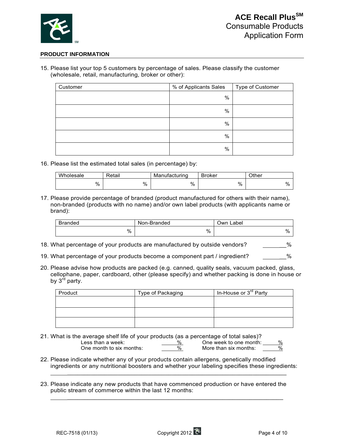

#### **PRODUCT INFORMATION**

15. Please list your top 5 customers by percentage of sales. Please classify the customer (wholesale, retail, manufacturing, broker or other):

| Customer | % of Applicants Sales | Type of Customer |
|----------|-----------------------|------------------|
|          | $\%$                  |                  |
|          | %                     |                  |
|          | %                     |                  |
|          | %                     |                  |
|          | %                     |                  |

16. Please list the estimated total sales (in percentage) by:

| Wholesale<br>Retail |   | Manufacturing | <b>Broker</b> | Other |
|---------------------|---|---------------|---------------|-------|
| $\%$                | % | %             | %             | $\%$  |

17. Please provide percentage of branded (product manufactured for others with their name), non-branded (products with no name) and/or own label products (with applicants name or brand):

| <b>Branded</b> | Non-Branded | Own Label |
|----------------|-------------|-----------|
| %              | %           | %         |

- 18. What percentage of your products are manufactured by outside vendors?  $\%$
- 19. What percentage of your products become a component part / ingredient? \_\_\_\_\_\_\_%
- 20. Please advise how products are packed (e.g. canned, quality seals, vacuum packed, glass, cellophane, paper, cardboard, other (please specify) and whether packing is done in house or by 3<sup>rd</sup> party.

| Product | Type of Packaging | In-House or 3 <sup>rd</sup> Party |
|---------|-------------------|-----------------------------------|
|         |                   |                                   |
|         |                   |                                   |
|         |                   |                                   |

- 21. What is the average shelf life of your products (as a percentage of total sales)? Less than a week:  $\frac{96}{20}$  One week to one month:  $\frac{96}{20}$  One week to one month:  $\frac{96}{20}$ One month to six months:  $\frac{96}{200}$  More than six months:
- 22. Please indicate whether any of your products contain allergens, genetically modified ingredients or any nutritional boosters and whether your labeling specifies these ingredients:  $\frac{1}{2}$  ,  $\frac{1}{2}$  ,  $\frac{1}{2}$  ,  $\frac{1}{2}$  ,  $\frac{1}{2}$  ,  $\frac{1}{2}$  ,  $\frac{1}{2}$  ,  $\frac{1}{2}$  ,  $\frac{1}{2}$  ,  $\frac{1}{2}$  ,  $\frac{1}{2}$  ,  $\frac{1}{2}$  ,  $\frac{1}{2}$  ,  $\frac{1}{2}$  ,  $\frac{1}{2}$  ,  $\frac{1}{2}$  ,  $\frac{1}{2}$  ,  $\frac{1}{2}$  ,  $\frac{1$
- 23. Please indicate any new products that have commenced production or have entered the public stream of commerce within the last 12 months:

 $\overline{\phantom{a}}$  ,  $\overline{\phantom{a}}$  ,  $\overline{\phantom{a}}$  ,  $\overline{\phantom{a}}$  ,  $\overline{\phantom{a}}$  ,  $\overline{\phantom{a}}$  ,  $\overline{\phantom{a}}$  ,  $\overline{\phantom{a}}$  ,  $\overline{\phantom{a}}$  ,  $\overline{\phantom{a}}$  ,  $\overline{\phantom{a}}$  ,  $\overline{\phantom{a}}$  ,  $\overline{\phantom{a}}$  ,  $\overline{\phantom{a}}$  ,  $\overline{\phantom{a}}$  ,  $\overline{\phantom{a}}$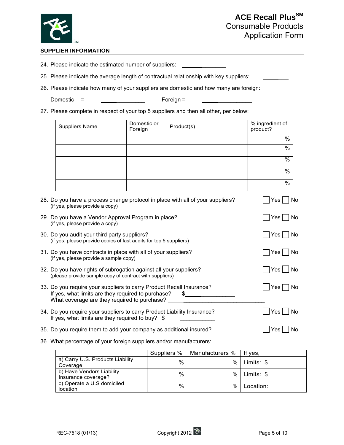

## **ACE Recall Plus<sup>SM</sup>** Consumable Products Application Form

#### **SUPPLIER INFORMATION**

24. Please indicate the estimated number of suppliers:

25. Please indicate the average length of contractual relationship with key suppliers:

26. Please indicate how many of your suppliers are domestic and how many are foreign:

Domestic =  $\frac{1}{2}$  Foreign =

27. Please complete in respect of your top 5 suppliers and then all other, per below:

| <b>Suppliers Name</b> | Domestic or<br>Foreign | Product(s) | % ingredient of<br>product? |
|-----------------------|------------------------|------------|-----------------------------|
|                       |                        |            | $\%$                        |
|                       |                        |            | $\%$                        |
|                       |                        |            | $\%$                        |
|                       |                        |            | $\%$                        |
|                       |                        |            | %                           |

| 28. Do you have a process change protocol in place with all of your suppliers?<br>(if yes, please provide a copy)                                                                 | Yes <br>No               |
|-----------------------------------------------------------------------------------------------------------------------------------------------------------------------------------|--------------------------|
| 29. Do you have a Vendor Approval Program in place?<br>(if yes, please provide a copy)                                                                                            | $Yes \mid \text{No}$     |
| 30. Do you audit your third party suppliers?<br>(if yes, please provide copies of last audits for top 5 suppliers)                                                                | Yes   No                 |
| 31. Do you have contracts in place with all of your suppliers?<br>(if yes, please provide a sample copy)                                                                          | Yes   No                 |
| 32. Do you have rights of subrogation against all your suppliers?<br>(please provide sample copy of contract with suppliers)                                                      | No⊃∏ Yes                 |
| 33. Do you require your suppliers to carry Product Recall Insurance?<br>If yes, what limits are they required to purchase?<br>What coverage are they required to purchase? ______ | $Yes \nightharpoonup$ No |
| 34. Do you require your suppliers to carry Product Liability Insurance?<br>If yes, what limits are they required to buy? \$                                                       | Yes  No                  |
| 35. Do you require them to add your company as additional insured?                                                                                                                | No<br>Yes l              |

36. What percentage of your foreign suppliers and/or manufacturers:

|                                                  | Suppliers % | Manufacturers % | If ves.    |
|--------------------------------------------------|-------------|-----------------|------------|
| a) Carry U.S. Products Liability<br>Coverage     | %           | %               | Limits: \$ |
| b) Have Vendors Liability<br>Insurance coverage? | $\%$        | %               | Limits: \$ |
| c) Operate a U.S domiciled<br>location           | $\%$        | %               | Location:  |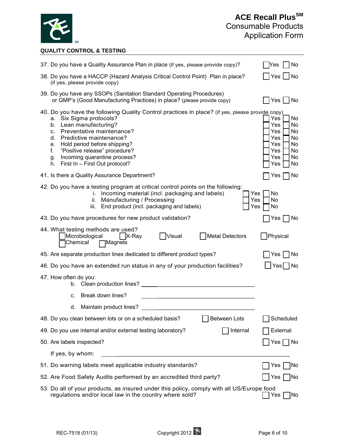

### **QUALITY CONTROL & TESTING**

| 37. Do you have a Quality Assurance Plan in place (if yes, please provide copy)?                                                                                                                                                                                                                                                                                                       | No<br>lYes                                                                                             |
|----------------------------------------------------------------------------------------------------------------------------------------------------------------------------------------------------------------------------------------------------------------------------------------------------------------------------------------------------------------------------------------|--------------------------------------------------------------------------------------------------------|
| 38. Do you have a HACCP (Hazard Analysis Critical Control Point) Plan in place?<br>(if yes, please provide copy)                                                                                                                                                                                                                                                                       | Yes <br><b>No</b>                                                                                      |
| 39. Do you have any SSOPs (Sanitation Standard Operating Procedures)<br>or GMP's (Good Manufacturing Practices) in place? (please provide copy)                                                                                                                                                                                                                                        | No<br> Yes                                                                                             |
| 40. Do you have the following Quality Control practices in place? (if yes, please provide copy)<br>a. Six Sigma protocols?<br>Lean manufacturing?<br>b.<br>Preventative maintenance?<br>c.<br>Predictive maintenance?<br>d.<br>Hold period before shipping?<br>е.<br>"Positive release" procedure?<br>f.<br>Incoming quarantine process?<br>g.<br>First In - First Out protocol?<br>h. | Yes<br>No.<br>Yes<br>No<br>Yes<br>No<br>Yes<br>No<br>Yes<br>No<br>Yes<br>No<br>Yes<br>No.<br>Yes<br>No |
| 41. Is there a Quality Assurance Department?                                                                                                                                                                                                                                                                                                                                           | No<br>Yes                                                                                              |
| 42. Do you have a testing program at critical control points on the following:<br>Incoming material (incl. packaging and labels)<br>Yes<br>Ť.<br>Manufacturing / Processing<br>Yes<br>ii.<br>End product (incl. packaging and labels)<br>Yes<br>Ш.                                                                                                                                     | No<br>No<br>No                                                                                         |
| 43. Do you have procedures for new product validation?                                                                                                                                                                                                                                                                                                                                 | Yes<br>No                                                                                              |
| 44. What testing methods are used?<br>Microbiological<br> Visual<br>Metal Detectors<br>$ $ X-Ray<br>Chemical<br>$\Box$ Magnets                                                                                                                                                                                                                                                         | Physical                                                                                               |
| 45. Are separate production lines dedicated to different product types?                                                                                                                                                                                                                                                                                                                | No<br>Yes                                                                                              |
| 46. Do you have an extended run status in any of your production facilities?                                                                                                                                                                                                                                                                                                           | Yes <br>No                                                                                             |
| 47. How often do you:<br>Clean production lines?<br>b.                                                                                                                                                                                                                                                                                                                                 |                                                                                                        |
| Break down lines?<br>c.                                                                                                                                                                                                                                                                                                                                                                |                                                                                                        |
| Maintain product lines?<br>d.                                                                                                                                                                                                                                                                                                                                                          |                                                                                                        |
| <b>Between Lots</b><br>48. Do you clean between lots or on a scheduled basis?                                                                                                                                                                                                                                                                                                          | Scheduled                                                                                              |
| 49. Do you use internal and/or external testing laboratory?<br>Internal                                                                                                                                                                                                                                                                                                                | External                                                                                               |
| 50. Are labels inspected?                                                                                                                                                                                                                                                                                                                                                              | $Yes \n\bigcap No$                                                                                     |
| If yes, by whom:                                                                                                                                                                                                                                                                                                                                                                       |                                                                                                        |
| 51. Do warning labels meet applicable industry standards?                                                                                                                                                                                                                                                                                                                              | Yes<br>No                                                                                              |
| 52. Are Food Safety Audits performed by an accredited third party?                                                                                                                                                                                                                                                                                                                     | No<br>Yes                                                                                              |
| 53. Do all of your products, as insured under this policy, comply with all US/Europe food<br>regulations and/or local law in the country where sold?                                                                                                                                                                                                                                   | No<br>Yes                                                                                              |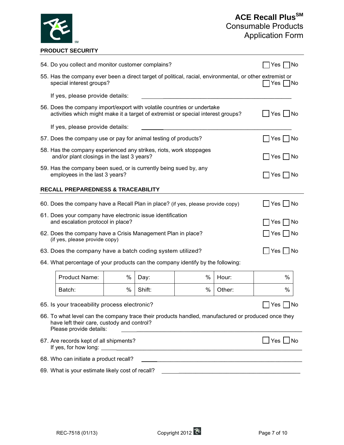

#### **PRODUCT SECURITY**

|                                                                                                        | 54. Do you collect and monitor customer complains?                                                                                                          |   |        |           | Yes   No                |   |
|--------------------------------------------------------------------------------------------------------|-------------------------------------------------------------------------------------------------------------------------------------------------------------|---|--------|-----------|-------------------------|---|
|                                                                                                        | 55. Has the company ever been a direct target of political, racial, environmental, or other extremist or<br>special interest groups?                        |   |        |           | Yes <sub>l</sub><br> No |   |
|                                                                                                        | If yes, please provide details:                                                                                                                             |   |        |           |                         |   |
|                                                                                                        | 56. Does the company import/export with volatile countries or undertake<br>activities which might make it a target of extremist or special interest groups? |   |        |           | Yes   No                |   |
|                                                                                                        | If yes, please provide details:                                                                                                                             |   |        |           |                         |   |
|                                                                                                        | 57. Does the company use or pay for animal testing of products?<br>Yes  <br>– I No                                                                          |   |        |           |                         |   |
|                                                                                                        | 58. Has the company experienced any strikes, riots, work stoppages<br>and/or plant closings in the last 3 years?                                            |   |        |           | Yes   No                |   |
| 59. Has the company been sued, or is currently being sued by, any<br>employees in the last 3 years?    |                                                                                                                                                             |   |        | Yes I INo |                         |   |
| <b>RECALL PREPAREDNESS &amp; TRACEABILITY</b>                                                          |                                                                                                                                                             |   |        |           |                         |   |
|                                                                                                        | 60. Does the company have a Recall Plan in place? (if yes, please provide copy)<br>Yes I<br>No.                                                             |   |        |           |                         |   |
| 61. Does your company have electronic issue identification<br>and escalation protocol in place?<br>No. |                                                                                                                                                             |   |        |           |                         |   |
|                                                                                                        | Yes                                                                                                                                                         |   |        |           |                         |   |
|                                                                                                        | 62. Does the company have a Crisis Management Plan in place?<br>Yes<br>– I No<br>(if yes, please provide copy)                                              |   |        |           |                         |   |
|                                                                                                        | Yes     No<br>63. Does the company have a batch coding system utilized?                                                                                     |   |        |           |                         |   |
| 64. What percentage of your products can the company identify by the following:                        |                                                                                                                                                             |   |        |           |                         |   |
|                                                                                                        | <b>Product Name:</b>                                                                                                                                        | % | Day:   | %         | Hour:                   | % |
|                                                                                                        | Batch:                                                                                                                                                      | % | Shift: | %         | Other:                  | % |

65. Is your traceability process electronic?  $\Box$  Yes  $\Box$  No

- 66. To what level can the company trace their products handled, manufactured or produced once they have left their care, custody and control? Please provide details:
- 67. Are records kept of all shipments?  $\Box$  Yes  $\Box$  No If yes, for how long: \_\_\_\_\_\_\_\_\_\_\_\_\_\_\_\_\_\_\_\_\_\_\_\_\_\_\_\_\_\_\_\_\_\_\_\_\_\_\_\_\_\_\_\_\_\_\_\_\_\_\_\_\_\_\_ 68. Who can initiate a product recall? 69. What is your estimate likely cost of recall? \_\_\_\_\_\_\_\_\_\_\_\_\_\_\_\_\_\_\_\_\_\_\_\_\_\_\_\_\_\_\_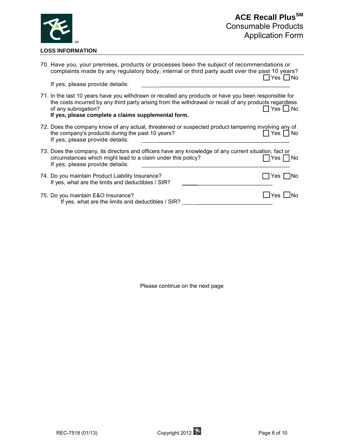

| 70. Have you, your premises, products or processes been the subject of recommendations or<br>complaints made by any regulatory body, internal or third party audit over the past 10 years?                                                                                                    | _l Yes └_l No      |
|-----------------------------------------------------------------------------------------------------------------------------------------------------------------------------------------------------------------------------------------------------------------------------------------------|--------------------|
| If yes, please provide details:                                                                                                                                                                                                                                                               |                    |
| 71. In the last 10 years have you withdrawn or recalled any products or have you been responsible for<br>the costs incurred by any third party arising from the withdrawal or recall of any products regardless<br>of any subrogation?<br>If yes, please complete a claims supplemental form. | $Yes \bigsqcup No$ |
| 72. Does the company know of any actual, threatened or suspected product tampering involving any of<br>the company's products during the past 10 years?<br>If yes, please provide details:                                                                                                    | Yes $\Box$ No      |
| 73. Does the company, its directors and officers have any knowledge of any current situation, fact or<br>circumstances which might lead to a claim under this policy?<br>If yes, please provide details:                                                                                      | Yes<br>  No        |
| 74. Do you maintain Product Liability Insurance?<br>If yes, what are the limits and deductibles / SIR?                                                                                                                                                                                        | l INo<br>Yes       |
| 75. Do you maintain E&O Insurance?<br>If yes, what are the limits and deductibles / SIR?                                                                                                                                                                                                      | Yes                |

Please continue on the next page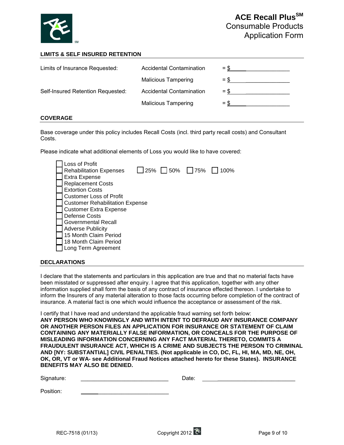

#### **LIMITS & SELF INSURED RETENTION**

| Limits of Insurance Requested:    | <b>Accidental Contamination</b> | $=$ \$ |
|-----------------------------------|---------------------------------|--------|
|                                   | <b>Malicious Tampering</b>      | $=$ \$ |
| Self-Insured Retention Requested: | <b>Accidental Contamination</b> | $=$ \$ |
|                                   | <b>Malicious Tampering</b>      | $=$ S  |

#### **COVERAGE**

Base coverage under this policy includes Recall Costs (incl. third party recall costs) and Consultant Costs.

Please indicate what additional elements of Loss you would like to have covered:

| Loss of Profit                         |  |                        |      |
|----------------------------------------|--|------------------------|------|
| <b>Rehabilitation Expenses</b>         |  | $\Box$ 25%   50%   75% | 100% |
| <b>Extra Expense</b>                   |  |                        |      |
| <b>Replacement Costs</b>               |  |                        |      |
| <b>Extortion Costs</b>                 |  |                        |      |
| <b>Customer Loss of Profit</b>         |  |                        |      |
| <b>Customer Rehabilitation Expense</b> |  |                        |      |
| <b>Customer Extra Expense</b>          |  |                        |      |
| Defense Costs                          |  |                        |      |
| Governmental Recall                    |  |                        |      |
| <b>Adverse Publicity</b>               |  |                        |      |
| 15 Month Claim Period                  |  |                        |      |
| 18 Month Claim Period                  |  |                        |      |
| Long Term Agreement                    |  |                        |      |
|                                        |  |                        |      |

#### **DECLARATIONS**

I declare that the statements and particulars in this application are true and that no material facts have been misstated or suppressed after enquiry. I agree that this application, together with any other information supplied shall form the basis of any contract of insurance effected thereon. I undertake to inform the Insurers of any material alteration to those facts occurring before completion of the contract of insurance. A material fact is one which would influence the acceptance or assessment of the risk.

I certify that I have read and understand the applicable fraud warning set forth below: **ANY PERSON WHO KNOWINGLY AND WITH INTENT TO DEFRAUD ANY INSURANCE COMPANY OR ANOTHER PERSON FILES AN APPLICATION FOR INSURANCE OR STATEMENT OF CLAIM CONTAINING ANY MATERIALLY FALSE INFORMATION, OR CONCEALS FOR THE PURPOSE OF MISLEADING INFORMATION CONCERNING ANY FACT MATERIAL THERETO, COMMITS A FRAUDULENT INSURANCE ACT, WHICH IS A CRIME AND SUBJECTS THE PERSON TO CRIMINAL AND [NY: SUBSTANTIAL] CIVIL PENALTIES. (Not applicable in CO, DC, FL, HI, MA, MD, NE, OH, OK, OR, VT or WA- see Additional Fraud Notices attached hereto for these States). INSURANCE BENEFITS MAY ALSO BE DENIED.** 

| $\sim$<br>Signature:<br>ັ | Dale. |  |  |
|---------------------------|-------|--|--|
|                           |       |  |  |

Position: